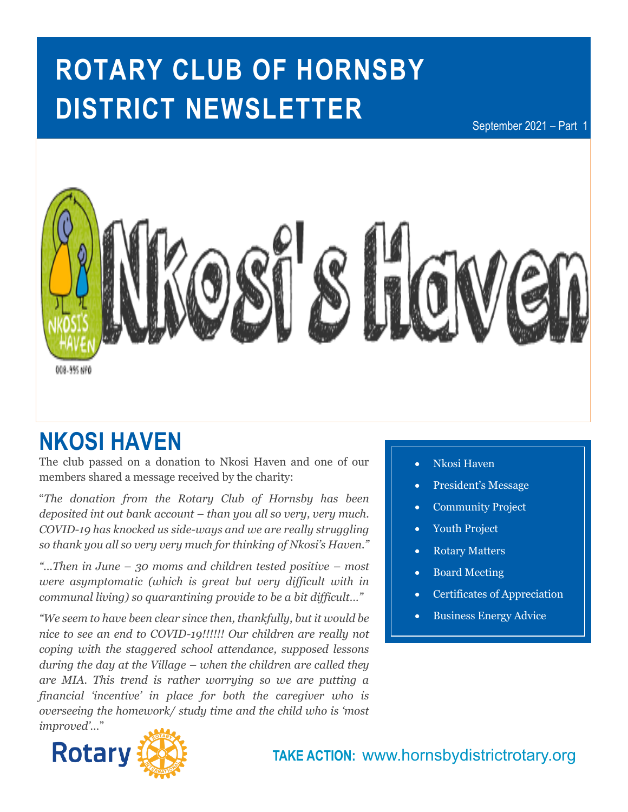# **ROTARY CLUB OF HORNSBY DISTRICT NEWSLETTER**

September 2021 – Part 1



## **NKOSI HAVEN**

The club passed on a donation to Nkosi Haven and one of our members shared a message received by the charity:

"*The donation from the Rotary Club of Hornsby has been deposited int out bank account – than you all so very, very much. COVID-19 has knocked us side-ways and we are really struggling so thank you all so very very much for thinking of Nkosi's Haven."*

*"…Then in June – 30 moms and children tested positive – most were asymptomatic (which is great but very difficult with in communal living) so quarantining provide to be a bit difficult…"*

*"We seem to have been clear since then, thankfully, but it would be nice to see an end to COVID-19!!!!!! Our children are really not coping with the staggered school attendance, supposed lessons during the day at the Village – when the children are called they are MIA. This trend is rather worrying so we are putting a financial 'incentive' in place for both the caregiver who is overseeing the homework/ study time and the child who is 'most improved'…*"



**In this issue…** • Nkosi Haven

- President's Message
- Community Project
- Youth Project
- Rotary Matters
- Board Meeting
- Certificates of Appreciation
- Business Energy Advice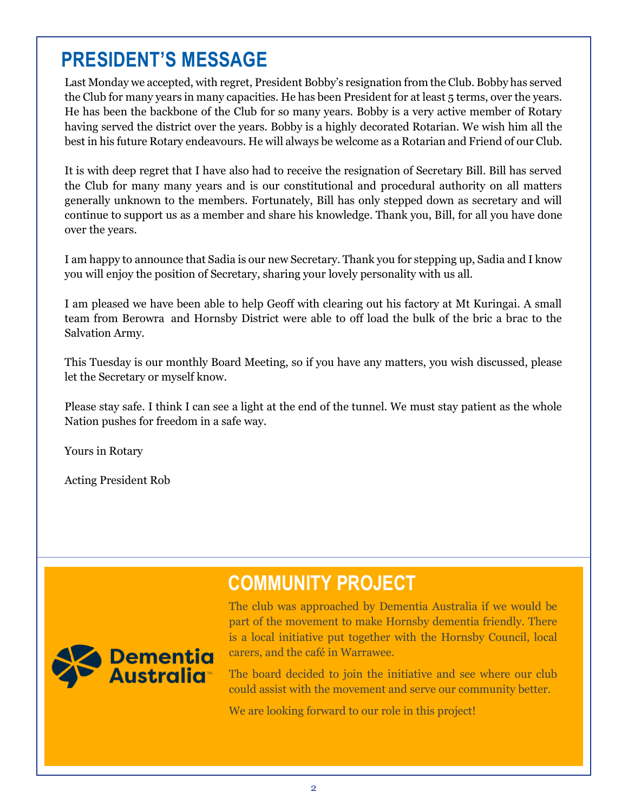## **PRESIDENT'S MESSAGE**

Last Monday we accepted, with regret, President Bobby's resignation from the Club. Bobby has served the Club for many years in many capacities. He has been President for at least 5 terms, over the years. He has been the backbone of the Club for so many years. Bobby is a very active member of Rotary having served the district over the years. Bobby is a highly decorated Rotarian. We wish him all the best in his future Rotary endeavours. He will always be welcome as a Rotarian and Friend of our Club.

continue to support us as a member and share his knowledge. Thank you, Bill, for all you have done It is with deep regret that I have also had to receive the resignation of Secretary Bill. Bill has served the Club for many many years and is our constitutional and procedural authority on all matters generally unknown to the members. Fortunately, Bill has only stepped down as secretary and will over the years.

you for stepping up, Sadia and I kno<sup>.</sup> you will enjoy the position of Secretary, sharing your lovely personality with us all. I am happy to announce that Sadia is our new Secretary. Thank you for stepping up, Sadia and I know

ago and received feedback from I am pleased we have been able to help Geoff with clearing out his factory at Mt Kuringai. A small team from Berowra and Hornsby District were able to off load the bulk of the bric a brac to the Salvation Army.

This Tuesday is our monthly Board Meeting, so if you have any matters, you wish discussed, please let the Secretary or myself know.

 $m_{\text{max}}$  to tool to information prospective prospective prospective prospective prospective prospective prospective prospective prospective prospective prospective prospective prospective prospective prospective prospect Please stay safe. I think I can see a light at the end of the tunnel. We must stay patient as the whole Nation pushes for freedom in a safe way.

Yours in Rotary

Acting President Rob

## **COMMUNITY PROJECT**



The club was approached by Dementia Australia if we would be part of the movement to make Hornsby dementia friendly. There is a local initiative put together with the Hornsby Council, local carers, and the café in Warrawee.

The board decided to join the initiative and see where our club could assist with the movement and serve our community better.

We are looking forward to our role in this project!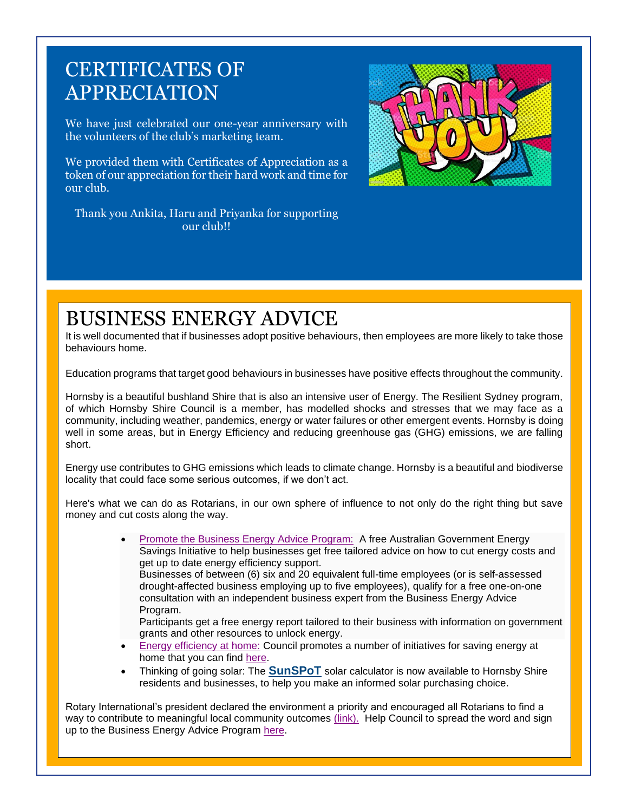## CERTIFICATES OF APPRECIATION

We have just celebrated our one-year anniversary with the volunteers of the club's marketing team.

We provided them with Certificates of Appreciation as a token of our appreciation for their hard work and time for our club.



Thank you Ankita, Haru and Priyanka for supporting our club!!

## BUSINESS ENERGY ADVICE

It is well documented that if businesses adopt positive behaviours, then employees are more likely to take those behaviours home.

Education programs that target good behaviours in businesses have positive effects throughout the community.

Hornsby is a beautiful bushland Shire that is also an intensive user of Energy. The Resilient Sydney program, of which Hornsby Shire Council is a member, has modelled shocks and stresses that we may face as a community, including weather, pandemics, energy or water failures or other emergent events. Hornsby is doing well in some areas, but in Energy Efficiency and reducing greenhouse gas (GHG) emissions, we are falling short.

Energy use contributes to GHG emissions which leads to climate change. Hornsby is a beautiful and biodiverse locality that could face some serious outcomes, if we don't act.

Here's what we can do as Rotarians, in our own sphere of influence to not only do the right thing but save money and cut costs along the way.

> • [Promote the Business Energy Advice Program:](https://aus01.safelinks.protection.outlook.com/?url=https%3A%2F%2Fbusinessenergyadvice.com.au%2Fhsc&data=04%7C01%7CSSmith%40hornsby.nsw.gov.au%7C78829bc9547d44f4dc5c08d94666dbe8%7Cbbe004451e89428d8172c053cfe9087e%7C0%7C0%7C637618229870827945%7CUnknown%7CTWFpbGZsb3d8eyJWIjoiMC4wLjAwMDAiLCJQIjoiV2luMzIiLCJBTiI6Ik1haWwiLCJXVCI6Mn0%3D%7C1000&sdata=a96sJWlUzz5o5qkaJfkiUk8zIskP2OjCpLuVEIQzXWc%3D&reserved=0) A free Australian Government Energy Savings Initiative to help businesses get free tailored advice on how to cut energy costs and get up to date energy efficiency support. Businesses of between (6) six and 20 equivalent full-time employees (or is self-assessed drought-affected business employing up to five employees), qualify for a free one-on-one consultation with an independent business expert from the Business Energy Advice Program.

Participants get a free energy report tailored to their business with information on government grants and other resources to unlock energy.

- [Energy efficiency at home:](https://aus01.safelinks.protection.outlook.com/?url=https%3A%2F%2Fwww.hornsby.nsw.gov.au%2Fenvironment%2Fsustainability%2Fin-the-home&data=04%7C01%7CSSmith%40hornsby.nsw.gov.au%7C78829bc9547d44f4dc5c08d94666dbe8%7Cbbe004451e89428d8172c053cfe9087e%7C0%7C0%7C637618229870837900%7CUnknown%7CTWFpbGZsb3d8eyJWIjoiMC4wLjAwMDAiLCJQIjoiV2luMzIiLCJBTiI6Ik1haWwiLCJXVCI6Mn0%3D%7C1000&sdata=c0FimrY2%2Fv1zDyJ9Imyr7lbtBrn0pU30LPkIale34%2Fs%3D&reserved=0) Council promotes a number of initiatives for saving energy at home that you can find [here.](https://aus01.safelinks.protection.outlook.com/?url=https%3A%2F%2Fwww.hornsby.nsw.gov.au%2Fenvironment%2Fsustainability%2Fin-the-home&data=04%7C01%7CSSmith%40hornsby.nsw.gov.au%7C78829bc9547d44f4dc5c08d94666dbe8%7Cbbe004451e89428d8172c053cfe9087e%7C0%7C0%7C637618229870847856%7CUnknown%7CTWFpbGZsb3d8eyJWIjoiMC4wLjAwMDAiLCJQIjoiV2luMzIiLCJBTiI6Ik1haWwiLCJXVCI6Mn0%3D%7C1000&sdata=fRqAjvxrzvNGsQL33sktSLINRi%2B1gDV0z56RlNWP22Y%3D&reserved=0)
- Thinking of going solar: The **[SunSPoT](https://aus01.safelinks.protection.outlook.com/?url=https%3A%2F%2Fapvi.org.au%2Fsunspot%2F&data=04%7C01%7CSSmith%40hornsby.nsw.gov.au%7C78829bc9547d44f4dc5c08d94666dbe8%7Cbbe004451e89428d8172c053cfe9087e%7C0%7C0%7C637618229870857825%7CUnknown%7CTWFpbGZsb3d8eyJWIjoiMC4wLjAwMDAiLCJQIjoiV2luMzIiLCJBTiI6Ik1haWwiLCJXVCI6Mn0%3D%7C1000&sdata=LCORgHk05jdmQXcHdy%2FgL%2BTcPVtCLiw%2Fq6o%2FZAJww%2Bc%3D&reserved=0)** solar calculator is now available to Hornsby Shire residents and businesses, to help you make an informed solar purchasing choice.

Rotary International's president declared the environment a priority and encouraged all Rotarians to find a way to contribute to meaningful local community outcomes [\(link\).](https://aus01.safelinks.protection.outlook.com/?url=https%3A%2F%2Fwww.rotary.org%2Fen%2Fclimate-change-ri-president-says-protecting-environment-ultimate-mission&data=04%7C01%7CSSmith%40hornsby.nsw.gov.au%7C78829bc9547d44f4dc5c08d94666dbe8%7Cbbe004451e89428d8172c053cfe9087e%7C0%7C0%7C637618229870857825%7CUnknown%7CTWFpbGZsb3d8eyJWIjoiMC4wLjAwMDAiLCJQIjoiV2luMzIiLCJBTiI6Ik1haWwiLCJXVCI6Mn0%3D%7C1000&sdata=al%2FAiCFmLb3J%2Bt%2F2CtwuTsG44YZpdFhzmBNE5GB2fI4%3D&reserved=0) Help Council to spread the word and sign up to the Business Energy Advice Program [here.](https://aus01.safelinks.protection.outlook.com/?url=https%3A%2F%2Fbusinessenergyadvice.com.au%2Fhsc&data=04%7C01%7CSSmith%40hornsby.nsw.gov.au%7C78829bc9547d44f4dc5c08d94666dbe8%7Cbbe004451e89428d8172c053cfe9087e%7C0%7C0%7C637618229870867778%7CUnknown%7CTWFpbGZsb3d8eyJWIjoiMC4wLjAwMDAiLCJQIjoiV2luMzIiLCJBTiI6Ik1haWwiLCJXVCI6Mn0%3D%7C1000&sdata=BlQ56uZV3yQdAMTvR3BjbD1%2Bm3nKYuJqCXCElsgMzpc%3D&reserved=0)